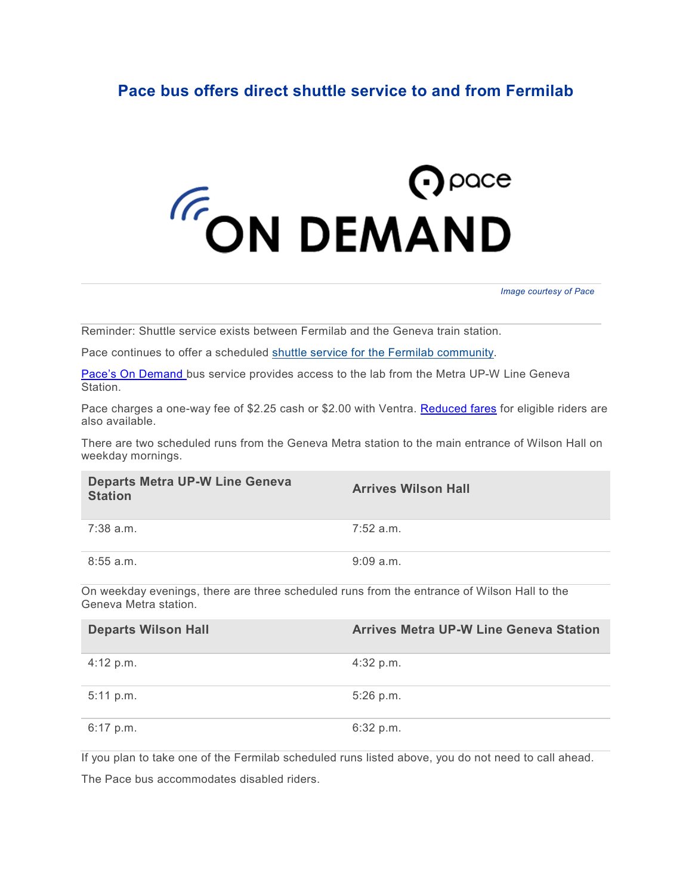## **Pace bus offers direct shuttle service to and from Fermilab**

## **FON DEMAND**

*Image courtesy of Pace*

Reminder: Shuttle service exists between Fermilab and the Geneva train station.

Pace continues to offer a scheduled [shuttle service for the Fermilab community.](https://www.pacebus.com/sites/default/files/2020-08/BataviaOnDemand_08-2020.pdf)

[Pace's On Demand](https://www.pacebus.com/route/596) bus service provides access to the lab from the Metra UP-W Line Geneva Station.

Pace charges a one-way fee of \$2.25 cash or \$2.00 with Ventra. [Reduced fares](https://www.pacebus.com/fares) for eligible riders are also available.

There are two scheduled runs from the Geneva Metra station to the main entrance of Wilson Hall on weekday mornings.

| <b>Departs Metra UP-W Line Geneva</b><br><b>Station</b>                                                              | <b>Arrives Wilson Hall</b> |
|----------------------------------------------------------------------------------------------------------------------|----------------------------|
| $7:38$ a.m.                                                                                                          | $7:52$ a.m.                |
| $8:55$ a.m.                                                                                                          | 9:09a.m.                   |
| On weekday evenings, there are three scheduled runs from the entrance of Wilson Hall to the<br>Geneva Metra station. |                            |

| <b>Departs Wilson Hall</b> | <b>Arrives Metra UP-W Line Geneva Station</b> |
|----------------------------|-----------------------------------------------|
| 4:12 p.m.                  | $4:32$ p.m.                                   |
| 5:11 p.m.                  | $5:26$ p.m.                                   |
| $6:17$ p.m.                | 6:32 p.m.                                     |

If you plan to take one of the Fermilab scheduled runs listed above, you do not need to call ahead.

The Pace bus accommodates disabled riders.